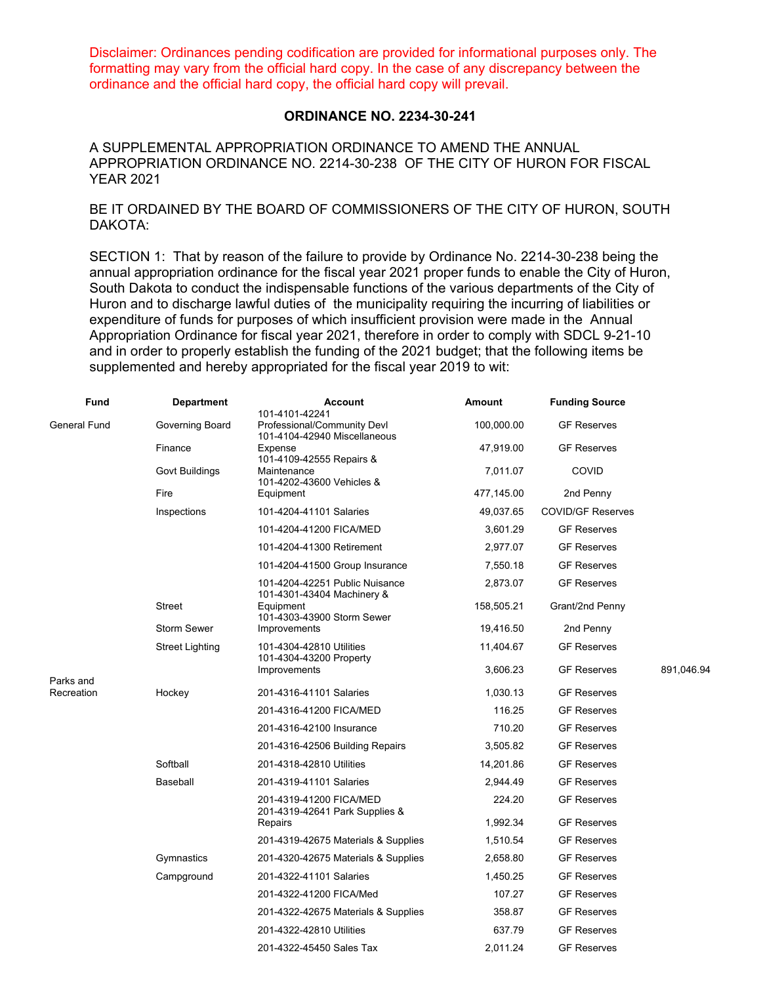Disclaimer: Ordinances pending codification are provided for informational purposes only. The formatting may vary from the official hard copy. In the case of any discrepancy between the ordinance and the official hard copy, the official hard copy will prevail.

## **ORDINANCE NO. 2234-30-241**

A SUPPLEMENTAL APPROPRIATION ORDINANCE TO AMEND THE ANNUAL APPROPRIATION ORDINANCE NO. 2214-30-238 OF THE CITY OF HURON FOR FISCAL YEAR 2021

BE IT ORDAINED BY THE BOARD OF COMMISSIONERS OF THE CITY OF HURON, SOUTH DAKOTA:

SECTION 1: That by reason of the failure to provide by Ordinance No. 2214-30-238 being the annual appropriation ordinance for the fiscal year 2021 proper funds to enable the City of Huron, South Dakota to conduct the indispensable functions of the various departments of the City of Huron and to discharge lawful duties of the municipality requiring the incurring of liabilities or expenditure of funds for purposes of which insufficient provision were made in the Annual Appropriation Ordinance for fiscal year 2021, therefore in order to comply with SDCL 9-21-10 and in order to properly establish the funding of the 2021 budget; that the following items be supplemented and hereby appropriated for the fiscal year 2019 to wit:

| <b>Fund</b>                      | <b>Department</b>      | <b>Account</b><br>101-4101-42241                             | Amount     | <b>Funding Source</b>    |            |
|----------------------------------|------------------------|--------------------------------------------------------------|------------|--------------------------|------------|
| <b>General Fund</b><br>Parks and | Governing Board        | Professional/Community Devl<br>101-4104-42940 Miscellaneous  | 100,000.00 | <b>GF Reserves</b>       |            |
|                                  | Finance                | Expense<br>101-4109-42555 Repairs &                          | 47,919.00  | <b>GF Reserves</b>       |            |
|                                  | <b>Govt Buildings</b>  | Maintenance<br>101-4202-43600 Vehicles &                     | 7,011.07   | COVID                    |            |
|                                  | Fire                   | Equipment                                                    | 477,145.00 | 2nd Penny                |            |
|                                  | Inspections            | 101-4204-41101 Salaries                                      | 49,037.65  | <b>COVID/GF Reserves</b> |            |
|                                  |                        | 101-4204-41200 FICA/MED                                      | 3,601.29   | <b>GF Reserves</b>       |            |
|                                  |                        | 101-4204-41300 Retirement                                    | 2,977.07   | <b>GF Reserves</b>       |            |
|                                  |                        | 101-4204-41500 Group Insurance                               | 7,550.18   | <b>GF Reserves</b>       |            |
|                                  |                        | 101-4204-42251 Public Nuisance<br>101-4301-43404 Machinery & | 2,873.07   | <b>GF Reserves</b>       |            |
|                                  | <b>Street</b>          | Equipment<br>101-4303-43900 Storm Sewer                      | 158,505.21 | Grant/2nd Penny          |            |
|                                  | <b>Storm Sewer</b>     | Improvements                                                 | 19,416.50  | 2nd Penny                |            |
|                                  | <b>Street Lighting</b> | 101-4304-42810 Utilities<br>101-4304-43200 Property          | 11,404.67  | <b>GF Reserves</b>       |            |
|                                  |                        | Improvements                                                 | 3,606.23   | <b>GF Reserves</b>       | 891,046.94 |
| Recreation                       | Hockey                 | 201-4316-41101 Salaries                                      | 1,030.13   | <b>GF Reserves</b>       |            |
|                                  |                        | 201-4316-41200 FICA/MED                                      | 116.25     | <b>GF Reserves</b>       |            |
|                                  |                        | 201-4316-42100 Insurance                                     | 710.20     | <b>GF Reserves</b>       |            |
|                                  |                        | 201-4316-42506 Building Repairs                              | 3,505.82   | <b>GF Reserves</b>       |            |
|                                  | Softball               | 201-4318-42810 Utilities                                     | 14,201.86  | <b>GF Reserves</b>       |            |
|                                  | Baseball               | 201-4319-41101 Salaries                                      | 2,944.49   | <b>GF Reserves</b>       |            |
|                                  |                        | 201-4319-41200 FICA/MED<br>201-4319-42641 Park Supplies &    | 224.20     | <b>GF Reserves</b>       |            |
|                                  |                        | Repairs                                                      | 1,992.34   | <b>GF Reserves</b>       |            |
|                                  |                        | 201-4319-42675 Materials & Supplies                          | 1,510.54   | <b>GF Reserves</b>       |            |
|                                  | Gymnastics             | 201-4320-42675 Materials & Supplies                          | 2,658.80   | <b>GF Reserves</b>       |            |
|                                  | Campground             | 201-4322-41101 Salaries                                      | 1,450.25   | <b>GF Reserves</b>       |            |
|                                  |                        | 201-4322-41200 FICA/Med                                      | 107.27     | <b>GF Reserves</b>       |            |
|                                  |                        | 201-4322-42675 Materials & Supplies                          | 358.87     | <b>GF Reserves</b>       |            |
|                                  |                        | 201-4322-42810 Utilities                                     | 637.79     | <b>GF Reserves</b>       |            |
|                                  |                        | 201-4322-45450 Sales Tax                                     | 2,011.24   | <b>GF Reserves</b>       |            |